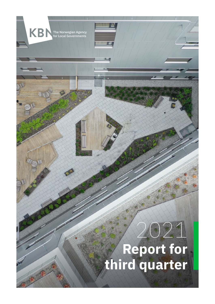

The Norwegian Agency for Local Governments

KBI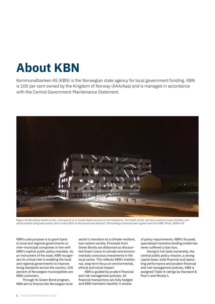# **About KBN**

Kommunalbanken AS (KBN) is the Norwegian state agency for local government funding. KBN is 100 per cent owned by the Kingdom of Norway (AAA/Aaa) and is managed in accordance with the Central Government Maintenance Statement.



Region Nordhordland Health Center is being built to co-locate health services for the inhabitants. The health center will have a passive house standard, and will be heated using heat pumps, which covers 85% of the annual heat demand. The building is financed with a green loan from KBN. Photo: Altifilm AS

KBN's sole purpose is to grant loans to local and regional governments or inter-municipal companies in line with KBN's explicit public policy mandate. As an instrument of the state, KBN recognizes its critical role in enabling the local and regional governments to improve living standards across the country. 100 percent of Norwegian municipalities are KBN customers.

Through its Green Bond program, KBN aim to finance the Norwegian local sector's transition to a climate-resilient, low-carbon society. Proceeds from Green Bonds are disbursed as discounted Green Loans to climate and environmentally conscious investments in the local sector. This reflects KBN's traditional, long-term focus on environmental, ethical and social impact.

KBN is guided by prudent financial and risk management policies. All financial transactions are fully hedged and KBN maintains liquidity in excess

of policy requirements. KBN's focused, specialized monoline lending model has never suffered a loan loss.

Owing to full state ownership, the central public policy mission, a strong capital base, solid financial and operating performance and prudent financial and risk management policies, KBN is assigned Triple-A ratings by Standard & Poor's and Moody's.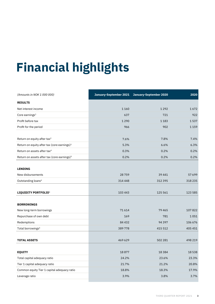# **Financial highlights Financial highlights**

| (Amounts in NOK 1 000 000)                              | January-September 2021 | January-September 2020 | 2020    |
|---------------------------------------------------------|------------------------|------------------------|---------|
| <b>RESULTS</b>                                          |                        |                        |         |
| Net interest income                                     | 1 1 6 0                | 1 2 9 2                | 1672    |
| Core earnings <sup>1</sup>                              | 637                    | 721                    | 922     |
| Profit before tax                                       | 1 2 9 0                | 1 1 8 3                | 1537    |
| Profit for the period                                   | 966                    | 902                    | 1 1 5 9 |
|                                                         |                        |                        |         |
| Return on equity after tax <sup>2</sup>                 | 7.6%                   | 7.8%                   | 7.4%    |
| Return on equity after tax (core earnings) <sup>3</sup> | 5.3%                   | 6.6%                   | 6.3%    |
| Return on assets after tax <sup>4</sup>                 | 0.3%                   | 0.2%                   | 0.2%    |
| Return on assets after tax (core earnings) <sup>5</sup> | 0.2%                   | 0.2%                   | 0.2%    |
|                                                         |                        |                        |         |
| <b>LENDING</b>                                          |                        |                        |         |
| New disbursements                                       | 28759                  | 39 441                 | 57 699  |
| Outstanding loans <sup>6</sup>                          | 314 448                | 312 395                | 318 235 |
|                                                         |                        |                        |         |
| LIQUIDITY PORTFOLIO <sup>6</sup>                        | 103 443                | 125 561                | 123 585 |
|                                                         |                        |                        |         |
| <b>BORROWINGS</b>                                       |                        |                        |         |
| New long-term borrowings                                | 71614                  | 79 465                 | 107822  |
| Repurchase of own debt                                  | 169                    | 781                    | 1051    |
| Redemptions                                             | 84 4 32                | 94 3 9 7               | 106 676 |
| Total borrowings <sup>6</sup>                           | 389778                 | 415 512                | 405 451 |
|                                                         |                        |                        |         |
| <b>TOTAL ASSETS</b>                                     | 469 629                | 502 281                | 498 219 |
|                                                         |                        |                        |         |
| <b>EQUITY</b>                                           | 18877                  | 18 3 8 4               | 18 5 38 |
| Total capital adequacy ratio                            | 24.2%                  | 23.6%                  | 23.3%   |
| Tier 1 capital adequacy ratio                           | 21.7%                  | 21.2%                  | 20.8%   |
| Common equity Tier 1 capital adequacy ratio             | 18.8%                  | 18.3%                  | 17.9%   |
| Leverage ratio                                          | 3.9%                   | 3.8%                   | 3.7%    |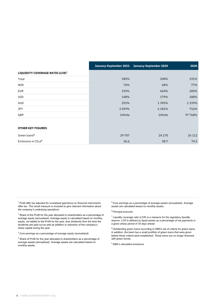|                                 |          | January-September 2021 January-September 2020 | 2020      |
|---------------------------------|----------|-----------------------------------------------|-----------|
| LIQUIDITY COVERAGE RATIO (LCR)7 |          |                                               |           |
| Total                           | 185%     | 208%                                          | 191%      |
| <b>NOK</b>                      | 74%      | 68%                                           | 77%       |
| <b>EUR</b>                      | 193%     | 424%                                          | 200%      |
| <b>USD</b>                      | 148%     | 179%                                          | 188%      |
| AUD                             | 253%     | 1395%                                         | 1 2 3 9 % |
| <b>JPY</b>                      | 3039%    | 6 181%                                        | 716%      |
| GBP                             | Infinite | Infinite                                      | 97 768%   |
|                                 |          |                                               |           |
| <b>OTHER KEY FIGURES</b>        |          |                                               |           |
| Green loans <sup>8</sup>        | 29 707   | 24 170                                        | 26 112    |
| Emissions in $CO2e9$            | 36.6     | 58.7                                          | 74.5      |

*<sup>1</sup> Profit after tax adjusted for unrealised gain/(loss) on financial instruments after tax. This result measure is included to give relevant information about the company's underlying operations.*

*<sup>2</sup>* Share of the Profit for the year allocated to shareholders as a percentage of average equity (annualized). Average equity is calculated based on monthly equity, not added to the Profit for the year, less dividends from the time the dividends are paid out as well as addition or reduction of the company's share capital during the year.

*<sup>3</sup> Core earnings as a percentage of average equity (annualized).*

*<sup>4</sup>* Share of Profit for the year allocated to shareholders as a percentage of average assets (annualized). Average assets are calculated based on monthly assets.

*<sup>5</sup> Core earnings as a percentage of average assets (annualized). Average assets are calculated based on monthly assets.*

#### *6 Principal amounts.*

*<sup>7</sup> Liquidity coverage ratio (LCR) is a measure for the regulatory liquidity reserve. LCR is defined as liquid assets as a percentage of net payments in a given stress period of 30 days ahead.*

*8 Outstanding green loans according to KBN's set of criteria for green loans. In addition, the bank has a small portfolio of green loans that were given before these criteria were established. These loans are no longer financed with green bonds.* 

*<sup>9</sup> KBN's calculated emissions.*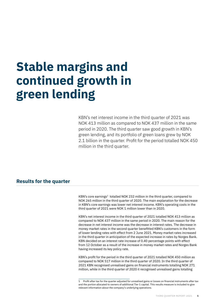# **Stable margins and continued growth in green lending**

KBN's net interest income in the third quarter of 2021 was NOK 413 million as compared to NOK 437 million in the same period in 2020. The third quarter saw good growth in KBN's green lending, and its portfolio of green loans grew by NOK 2.1 billion in the quarter. Profit for the period totalled NOK 450 million in the third quarter.

## **Results for the quarter**

 $KBN's core$  earnings<sup>1</sup> totalled NOK 232 million in the third quarter, compared to NOK 265 million in the third quarter of 2020. The main explanation for the decrease in KBN's core earnings was lower net interest income. KBN's operating costs in the third quarter of 2021 were NOK 1 million lower than in 2020.

KBN's net interest income in the third quarter of 2021 totalled NOK 413 million as compared to NOK 437 million in the same period in 2020. The main reason for the decrease in net interest income was the decrease in interest rates. The decrease in money market rates in the second quarter benefitted KBN's customers in the form of lower lending rates with effect from 2 June 2021. Money market rates increased in the third quarter in anticipation of the expected increase in rates by Norges Bank. KBN decided on an interest rate increase of 0.40 percentage points with effect from 12 October as a result of the increase in money market rates and Norges Bank having increased its key policy rate.

KBN's profit for the period in the third quarter of 2021 totalled NOK 450 million as compared to NOK 517 million in the third quarter of 2020. In the third quarter of 2021 KBN recognised unrealised gains on financial instruments totalling NOK 271 million, while in the third quarter of 2020 it recognised unrealised gains totalling

<sup>1</sup> Profit after tax for the quarter adjusted for unrealised gains or losses on financial instruments after tax and the portion allocated to owners of additional Tier 1 capital. This results measure is included to give relevant information about the company's underlying operations.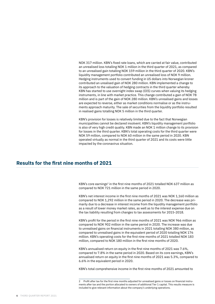NOK 317 million. KBN's fixed rate loans, which are carried at fair value, contributed an unrealised loss totalling NOK 1 million in the third quarter of 2021, as compared to an unrealised gain totalling NOK 159 million in the third quarter of 2020. KBN's liquidity management portfolio contributed an unrealised loss of NOK 9 million. Hedging instruments used to convert funding in US dollars into Norwegian kroner contributed an urealised gain of NOK 280 million. KBN implemented a change to its approach to the valuation of hedging contracts in the third quarter whereby KBN has started to use overnight index swap (OIS) curves when valuing its hedging instruments, in line with market practice. This change contributed a gain of NOK 78 million and is part of the gain of NOK 280 million. KBN's unrealised gains and losses are expected to reverse, either as market conditions normalise or as the instruments approach maturity. The sale of securities from the liquidity portfolio resulted in realised gains totalling NOK 5 million in the third quarter.

KBN's provision for losses is relatively limited due to the fact that Norwegian municipalities cannot be declared insolvent. KBN's liquidity management portfolio is also of very high credit quality. KBN made an NOK 1 million change to its provision for losses in the third quarter. KBN's total operating costs for the third quarter were NOK 59 million, compared to NOK 60 million in the same period in 2020. KBN operated virtually as normal in the third quarter of 2021 and its costs were little impacted by the coronavirus situation.

## **Results for the first nine months of 2021**

KBN's core earnings<sup>2</sup> in the first nine months of 2021 totalled NOK 637 million as compared to NOK 721 million in the same period in 2020.

KBN's net interest income in the first nine months of 2021 was NOK 1,160 million as compared to NOK 1,292 million in the same period in 2020. The decrease was primarily due to a decrease in interest income from the liquidity management portfolio as a result of lower money market rates, as well as to the interest expense due on the tax liability resulting from changes to tax assessments for 2015-2018.

KBN's profit for the period in the first nine months of 2021 was NOK 966 million as compared to NOK 902 million in the same period in 2020. The increase was due to unrealised gains on financial instruments in 2021 totalling NOK 380 million, as compared to unrealised gains in the equivalent period of 2020 totalling NOK 176 million. KBN's operating costs for the first nine months of 2021 totalled NOK 183 million, compared to NOK 180 million in the first nine months of 2020.

KBN's annualised return on equity in the first nine months of 2021 was 7.6%, compared to 7.8% in the same period in 2020. Based on its core earnings, KBN's annualised return on equity in the first nine months of 2021 was 5.3%, compared to 6.6% in the equivalent period in 2020.

KBN's total comprehensive income in the first nine months of 2021 amounted to

<sup>2</sup> Profit after tax for the first nine months adjusted for unrealised gains or losses on financial instruments after tax and the portion allocated to owners of additional Tier 1 capital. This results measure is included to give relevant information about the company's underlying operations.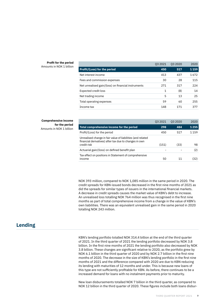#### **Profit for the period** Amounts in NOK 1 billion

|                                                     | 03 20 21 | 03 20 20 | 2020    |
|-----------------------------------------------------|----------|----------|---------|
| <b>Profit/(Loss) for the period</b>                 | 450      | 517      | 1 1 5 9 |
| Net interest income                                 | 413      | 437      | 1672    |
| Fees and commission expenses                        | 30       | 28       | 115     |
| Net unrealised gain/(loss) on financial instruments | 271      | 317      | 224     |
| Expected credit loss                                | 1        | (8)      | 14      |
| Net trading income                                  | 5        | 13       | 25      |
| Total operating expenses                            | 59       | 60       | 255     |
| Income tax                                          | 148      | 171      | 377     |

### **Comprehensive income for the period**

Amounts in NOK 1 billion

| 03 20 21 | 03 20 20 | 2020    |
|----------|----------|---------|
| 298      | 484      | 1255    |
| 450      | 517      | 1 1 5 9 |
|          |          | 98      |
|          |          |         |
|          |          | (2)     |
| 50       | 11       | (32)    |
|          | (151)    | (33)    |

NOK 393 million, compared to NOK 1,085 million in the same period in 2020. The credit spreads for KBN-issued bonds decreased in the first nine months of 2021 as did the spreads for similar types of issuers in the international financial markets. A decrease in credit spreads causes the market value of KBN's debt to increase. An unrealised loss totalling NOK 764 million was thus recognised in the first nine months as part of total comprehensive income from a change in the value of KBN's own liabilities. There was an equivalent unrealised gain in the same period in 2020 totalling NOK 243 million.

# **Lending**

KBN's lending portfolio totalled NOK 314.4 billion at the end of the third quarter of 2021. In the third quarter of 2021 the lending portfolio decreased by NOK 3.8 billion. In the first nine months of 2021 the lending portfolio also decreased by NOK 3.8 billion. These changes are significant relative to 2020, as the portfolio grew by NOK 6.1 billion in the third quarter of 2020 and by NOK 2.7 billion in the first nine months of 2020. The decrease in the size of KBN's lending portfolio in the first nine months of 2021 and the difference compared with 2020 are due to KBN reducing its lending with maturities of 12 months and under. This is because new loans of this type are not sufficiently profitable for KBN. As before, there continues to be a increased demand for loans with no instalment payments prior to maturity.

New loan disbursements totalled NOK 7 billion in the third quarter, as compared to NOK 12 billion in the third quarter of 2020. These figures include both loans disbur-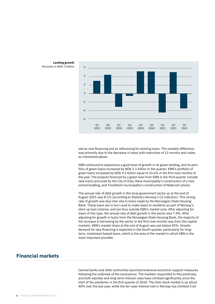



sed as new financing and as refinancing for existing loans. The sizeable difference was primarily due to the decrease in loans with maturities of 12 months and under, as mentioned above.

KBN continued to experience a good level of growth in its green lending, and its portfolio of green loans increased by NOK 2.1 billion in the quarter. KBN's portfolio of green loans increased by NOK 4.5 billion equal to 15.6% in the first nine months of the year. The projects financed by a green loan from KBN in the third quarter include new trams procured by the City of Oslo, Rana municipality's construction of a new school building, and Trondheim municipality's construction of Nidarvoll school.

The annual rate of debt growth in the local government sector as at the end of August 2021 was 8.1% (according to Statistics Norway's C2 indicator). This strong rate of growth was due inter alia to loans made by the Norwegian State Housing Bank. These loans are in turn used to make loans to residents as part of Norway's start-up loan scheme, and are thus outside KBN's market area. After adjusting for loans of this type, the annual rate of debt growth in the sector was 7.4%. After adjusting for growth in loans from the Norwegian State Housing Bank, the majority of the increase in borrowing by the sector in the first nine months was from the capital markets. KBN's market share at the end of August was just below 45%. Greater demand for new financing is expected in the fourth quarter, particularly for longterm, instalment-based loans, which is the area of the market in which KBN is the most important provider.

## **Financial markets**

Central banks and other authorities launched extensive economic support measures following the outbreak of the coronavirus. The markets responded to this positively, and both equities and long-term interest rates have climbed significantly since the start of the pandemic in the first quarter of 2020. The Oslo stock market is up about 40% over the last year, while the ten-year interest rate in Norway has climbed 0.65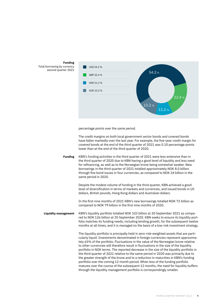

#### **Funding** Total borrowing by currency second quarter 2021

percentage points over the same period.

The credit margins on both local government sector bonds and covered bonds have fallen markedly over the last year. For example, the five-year credit margin for covered bonds at the end of the third quarter of 2021 was 0.10 percentage points lower than at the end of the third quarter of 2020.

KBN's funding activities in the third quarter of 2021 were less extensive than in the third quarter of 2020 due to KBN having a good level of liquidity and less need for refinancing, as well as to the Norwegian krone being somewhat weaker. New borrowings in the third quarter of 2021 totalled approximately NOK 8.0 billion through five bond issues in four currencies, as compared to NOK 24 billion in the same period in 2020. **Funding**

> Despite the modest volume of funding in the third quarter, KBN achieved a good level of diversification in terms of markets and currencies, and issued bonds in US dollars, British pounds, Hong Kong dollars and Australian dollars.

> In the first nine months of 2021 KBN's new borrowings totalled NOK 72 billion as compared to NOK 79 billion in the first nine months of 2020.

KBN's liquidity portfolio totalled NOK 103 billion at 30 September 2021 as compared to NOK 126 billion at 30 September 2020. KBN seeks to ensure its liquidity portfolio matches its funding needs, including lending growth, for the subsequent twelve months at all times, and it is managed on the basis of a low-risk investment strategy. **Liquidity management**

> The liquidity portfolio is principally held in zero-risk-weighted assets that are particularly liquid. Investments denominated in foreign currencies represent approximately 65% of the portfolio. Fluctuations in the value of the Norwegian krone relative to other currencies will therefore result in fluctuations in the size of the liquidity portfolio in NOK terms. The reported decrease in the size of the liquidity portfolio in the third quarter of 2021 relative to the same period in 2020 was primarily due to the greater strength of the krone and to a reduction in maturities in KBN's funding portfolio over the coming 12 month period. When less of the funding portfolio matures over the course of the subsequent 12 months, the need for liquidity buffers through the liquidity management portfolio is correspondingly smaller.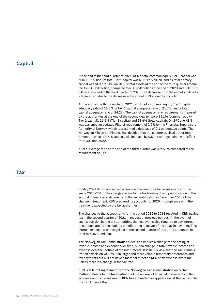## **Capital**

At the end of the third quarter of 2021, KBN's total common equity Tier 1 capital was NOK 15.2 billion, its total Tier 1 capital was NOK 17.5 billion, and its total primary capital was NOK 19.5 billion. KBN's total assets at the end of the third quarter amounted to NOK 470 billion, compared to NOK 498 billion at the end of 2020 and NOK 502 billion at the end of the third quarter of 2020. The decrease from the end of 2020 is to a large extent due to the decrease in the size of KBN's liquidity portfolio.

At the end of the third quarter of 2021, KBN had a common equity Tier 1 capital adequacy ratio of 18.8%, a Tier 1 capital adequacy ratio of 21.7%, and a total capital adequacy ratio of 24.2%. The capital adequacy ratio requirements imposed by the authorities at the end of the second quarter were 15.1% (common equity Tier 1 capital), 16.6% (Tier 1 capital) and 18.6% (total capital). On 29 June KBN was assigned an updated Pillar 2 requirement of 2.2% by the Financial Supervisory Authority of Norway, which represented a decrease of 0.1 percentage points. The Norwegian Ministry of Finance has decided that the counter-cyclical buffer requirement, to which KBN is subject, will increase by 0.5 percentage points with effect from 30 June 2022.

KBN's leverage ratio at the end of the third quarter was 3.9%, as compared to the requirement of 3.0%.

#### **Tax**

In May 2021 KBN received a decision on changes to its tax assessments for the years 2015-2018. The changes relate to the tax treatment and periodisation of the accrual of financial instruments. Following notification in December 2020 of the change in treatment, KBN prepared its accounts for 2020 in compliance with the treatment expected by the tax authorities.

The changes to the assessments for the period 2015 to 2018 resulted in KBN paying tax in the second quarter of 2021 in respect of previous periods. In the event of such a decision by the tax authorities, the taxpayer is also required to pay interest to compensate for the liquidity benefit to the taxpayer of the delay in payment. This interest expense was recognised in the second quarter of 2021 and amounted in total to NOK 59 million.

The Norwegian Tax Administration's decision implies a change to the timing of taxable income and expense over time, but no change in total taxable income and expense over the lifetime of the instruments. It is KBN's view that the Tax Administration's decision will result in larger and more volatile temporary differences and tax payments but will not have a material effect on KBN's tax expense over time, unless there is a change in the tax rate.

KBN is still in disagreement with the Norwegian Tax Administration on certain matters relating to the tax treatment of the accrual of financial instruments in the accounts and tax assessment. KBN has submitted an appeal against the decision to the Tax Appeals Board.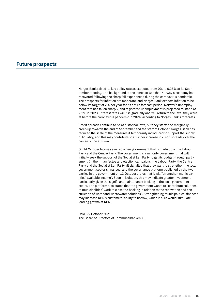### **Future prospects**

Norges Bank raised its key policy rate as expected from 0% to 0.25% at its September meeting. The background to the increase was that Norway's economy has recovered following the sharp fall experienced during the coronavirus pandemic. The prospects for inflation are moderate, and Norges Bank expects inflation to be below its target of 2% per year for its entire forecast period. Norway's unemployment rate has fallen sharply, and registered unemployment is projected to stand at 2.2% in 2023. Interest rates will rise gradually and will return to the level they were at before the coronavirus pandemic in 2024, according to Norges Bank's forecasts.

Credit spreads continue to be at historical lows, but they started to marginally creep up towards the end of September and the start of October. Norges Bank has reduced the scale of the measures it temporarily introduced to support the supply of liquidity, and this may contribute to a further increase in credit spreads over the course of the autumn.

On 14 October Norway elected a new government that is made up of the Labour Party and the Centre Party. The government is a minority government that will initially seek the support of the Socialist Left Party to get its budget through parliament. In their manifestos and election campaigns, the Labour Party, the Centre Party and the Socialist Left Party all signalled that they want to strengthen the local government sector's finances, and the governance platform published by the two parties in the government on 13 October states that it will "strengthen municipalities' available income". Seen in isolation, this may indicate greater investment, particularly given the significant maintenance backlog in the local government sector. The platform also states that the government wants to "contribute solutions to municipalities' work to close the backlog in relation to the renovation and construction of water and wastewater solutions". Strengthening municipalities' finances may increase KBN's customers' ability to borrow, which in turn would stimulate lending growth at KBN.

Oslo, 29 October 2021 The Board of Directors of Kommunalbanken AS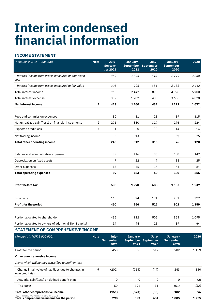# **Interim condensed financial information**

## **INCOME STATEMENT**

| (Amounts in NOK 1 000 000)                                | <b>Note</b>    | July-<br>Septem-<br>ber 2021 | January-<br><b>September</b><br>2021 | July-<br><b>September</b><br>2020 | January-<br><b>September</b><br>2020 | 2020    |
|-----------------------------------------------------------|----------------|------------------------------|--------------------------------------|-----------------------------------|--------------------------------------|---------|
| Interest income from assets measured at amortised<br>cost |                | 460                          | 1506                                 | 518                               | 2790                                 | 3258    |
| Interest income from assets measured at fair value        |                | 305                          | 996                                  | 356                               | 2 1 3 8                              | 2442    |
| Total interest income                                     |                | 765                          | 2442                                 | 875                               | 4928                                 | 5700    |
| Total interest expense                                    |                | 352                          | 1 2 8 2                              | 438                               | 3636                                 | 4028    |
| <b>Net interest income</b>                                | $\mathbf{1}$   | 413                          | 1 1 6 0                              | 437                               | 1292                                 | 1672    |
|                                                           |                |                              |                                      |                                   |                                      |         |
| Fees and commission expenses                              |                | 30                           | 81                                   | 28                                | 89                                   | 115     |
| Net unrealized gain/(loss) on financial instruments       | $\overline{2}$ | 271                          | 380                                  | 317                               | 176                                  | 224     |
| Expected credit loss                                      | 6              | $\mathbf{1}$                 | $\mathbf 0$                          | (8)                               | 14                                   | 14      |
| Net trading income                                        |                | 5                            | 13                                   | 13                                | (2)                                  | 25      |
| <b>Total other operating income</b>                       |                | 245                          | 312                                  | 310                               | 76                                   | 120     |
|                                                           |                |                              |                                      |                                   |                                      |         |
| Salaries and administrative expenses                      |                | 39                           | 116                                  | 38                                | 108                                  | 147     |
| Depreciation on fixed assets                              |                | 7                            | 22                                   | 7                                 | 18                                   | 25      |
| Other expenses                                            |                | 13                           | 46                                   | 15                                | 54                                   | 84      |
| <b>Total operating expenses</b>                           |                | 59                           | 183                                  | 60                                | 180                                  | 255     |
|                                                           |                |                              |                                      |                                   |                                      |         |
| <b>Profit before tax</b>                                  |                | 598                          | 1290                                 | 688                               | 1 1 8 3                              | 1537    |
|                                                           |                |                              |                                      |                                   |                                      |         |
| Income tax                                                |                | 148                          | 324                                  | 171                               | 281                                  | 377     |
| Profit for the period                                     |                | 450                          | 966                                  | 517                               | 902                                  | 1 1 5 9 |
|                                                           |                |                              |                                      |                                   |                                      |         |
| Portion allocated to shareholder                          |                | 435                          | 922                                  | 506                               | 863                                  | 1095    |
| Portion allocated to owners of additional Tier 1 capital  |                | 14                           | 44                                   | 11                                | 39                                   | 64      |
|                                                           |                |                              |                                      |                                   |                                      |         |

#### **STATEMENT OF COMPREHENSIVE INCOME**

| (Amounts in NOK 1 000 000)                                               | <b>Note</b> | July-<br><b>September</b><br>2021 | January-<br>2021 | July-<br>September September<br>2020 | January-<br><b>September</b><br>2020 | 2020 |
|--------------------------------------------------------------------------|-------------|-----------------------------------|------------------|--------------------------------------|--------------------------------------|------|
| Profit for the period                                                    |             | 450                               | 966              | 517                                  | 902                                  | 1159 |
| Other comprehensive income                                               |             |                                   |                  |                                      |                                      |      |
| Items which will not be reclassified to profit or loss                   |             |                                   |                  |                                      |                                      |      |
| Change in fair value of liabilities due to changes in<br>own credit risk | 9           | (202)                             | (764)            | (44)                                 | 243                                  | 130  |
| Actuarial gain/(loss) on defined benefit plan                            |             | 0                                 | 0                | $\Omega$                             | $\Omega$                             | (2)  |
| Tax effect                                                               |             | 50                                | 191              | 11                                   | (61)                                 | (32) |
| Total other comprehensive income                                         |             | (151)                             | (573)            | (33)                                 | 182                                  | 96   |
| 12<br>ARTER REPORT<br>Total comprehensive income for the period          |             | 298                               | 393              | 484                                  | 1085                                 | 1255 |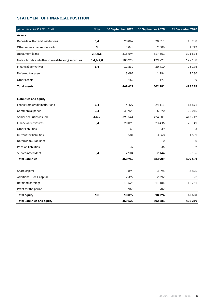### **STATEMENT OF FINANCIAL POSITION**

| (Amounts in NOK 1 000 000)                         | <b>Note</b> | 30 September 2021 | 30 September 2020 | <b>31 December 2020</b> |
|----------------------------------------------------|-------------|-------------------|-------------------|-------------------------|
| <b>Assets</b>                                      |             |                   |                   |                         |
| Deposits with credit institutions                  | 3,4         | 28 0 6 2          | 20 013            | 18 9 50                 |
| Other money market deposits                        | 3           | 4048              | 2606              | 1712                    |
| Instalment loans                                   | 3,4,5,6     | 315 694           | 317 561           | 321874                  |
| Notes, bonds and other interest-bearing securities | 3,4,6,7,8   | 105729            | 129724            | 127 108                 |
| <b>Financial derivatives</b>                       | 3,4         | 12830             | 30 410            | 25 1 7 6                |
| Deferred tax asset                                 |             | 3097              | 1794              | 3 2 3 0                 |
| Other assets                                       |             | 169               | 173               | 169                     |
| <b>Total assets</b>                                |             | 469 629           | 502 281           | 498 219                 |
|                                                    |             |                   |                   |                         |
| <b>Liabilities and equity</b>                      |             |                   |                   |                         |
| Loans from credit institutions                     | 3,4         | 4427              | 24 113            | 13871                   |
| Commercial paper                                   | 3,4         | 31923             | 6 2 7 0           | 20 045                  |
| Senior securities issued                           | 3,4,9       | 391544            | 424 001           | 413 717                 |
| <b>Financial derivatives</b>                       | 3,4         | 20095             | 23 4 36           | 28 341                  |
| Other liabilities                                  |             | 40                | 39                | 63                      |
| Current tax liabilities                            |             | 581               | 3868              | 1501                    |
| Deferred tax liabilities                           |             | $\Omega$          | 0                 | $\mathbf 0$             |
| <b>Pension liabilities</b>                         |             | 37                | 36                | 37                      |
| Subordinated debt                                  | 3,4         | 2 1 0 4           | 2 1 4 4           | 2 1 0 6                 |
| <b>Total liabilities</b>                           |             | 450 752           | 483 907           | 479 681                 |
|                                                    |             |                   |                   |                         |
| Share capital                                      |             | 3895              | 3895              | 3895                    |
| Additional Tier 1 capital                          |             | 2392              | 2392              | 2392                    |
| Retained earnings                                  |             | 11625             | 11 185            | 12 2 5 1                |
| Profit for the period                              |             | 966               | 902               |                         |
| <b>Total equity</b>                                | 10          | 18877             | 18 3 74           | 18538                   |
| <b>Total liabilities and equity</b>                |             | 469 629           | 502 281           | 498 219                 |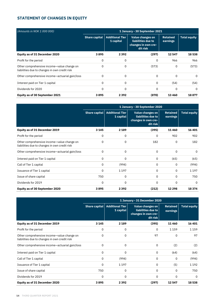## **STATEMENT OF CHANGES IN EQUITY**

| (Amounts in NOK 1 000 000)                                                                  | 1 January - 30 September 2021 |                                     |                                                                           |                             |                     |  |  |  |
|---------------------------------------------------------------------------------------------|-------------------------------|-------------------------------------|---------------------------------------------------------------------------|-----------------------------|---------------------|--|--|--|
|                                                                                             | <b>Share capital</b>          | <b>Additional Tier</b><br>1 capital | Value changes on<br>liabilities due to<br>changes in own cre-<br>dit risk | <b>Retained</b><br>earnings | <b>Total equity</b> |  |  |  |
| Equity as of 31 December 2020                                                               | 3895                          | 2 3 9 2                             | (297)                                                                     | 12547                       | 18538               |  |  |  |
| Profit for the period                                                                       | 0                             | 0                                   | 0                                                                         | 966                         | 966                 |  |  |  |
| Other comprehensive income-value change on<br>liabilities due to changes in own credit risk | 0                             | $\Omega$                            | (573)                                                                     | 0                           | (573)               |  |  |  |
| Other comprehensive income-actuarial gain/loss                                              | $\Omega$                      | $\Omega$                            | 0                                                                         | 0                           | $\Omega$            |  |  |  |
| Interest paid on Tier 1 capital                                                             | 0                             | 0                                   | 0                                                                         | (54)                        | (54)                |  |  |  |
| Dividends for 2020                                                                          | 0                             | $\Omega$                            | 0                                                                         | 0                           | $\Omega$            |  |  |  |
| Equity as of 30 September 2021                                                              | 3895                          | 2 3 9 2                             | (870)                                                                     | 13 4 6 0                    | 18877               |  |  |  |

|                                                                                             | 1 January - 30 September 2020 |                                     |                                                                           |                             |                     |  |  |
|---------------------------------------------------------------------------------------------|-------------------------------|-------------------------------------|---------------------------------------------------------------------------|-----------------------------|---------------------|--|--|
|                                                                                             | <b>Share capital</b>          | <b>Additional Tier</b><br>1 capital | Value changes on<br>liabilities due to<br>changes in own cre-<br>dit risk | <b>Retained</b><br>earnings | <b>Total equity</b> |  |  |
| Equity as of 31 December 2019                                                               | 3 1 4 5                       | 2 1 8 9                             | (395)                                                                     | 11460                       | 16 401              |  |  |
| Profit for the period                                                                       | 0                             | 0                                   | 0                                                                         | 902                         | 902                 |  |  |
| Other comprehensive income-value change on<br>liabilities due to changes in own credit risk | 0                             | $\Omega$                            | 182                                                                       | $\Omega$                    | 182                 |  |  |
| Other comprehensive income—actuarial gain/loss                                              | 0                             | $\Omega$                            | $\Omega$                                                                  | 0                           | $\Omega$            |  |  |
| Interest paid on Tier 1 capital                                                             | 0                             | 0                                   | $\Omega$                                                                  | (65)                        | (65)                |  |  |
| Call of Tier 1 capital                                                                      | 0                             | (994)                               | 0                                                                         | 0                           | (994)               |  |  |
| Issuance of Tier 1 capital                                                                  | 0                             | 1 1 9 7                             | 0                                                                         | 0                           | 1 1 9 7             |  |  |
| Issue of share capital                                                                      | 750                           | 0                                   | 0                                                                         | 0                           | 750                 |  |  |
| Dividends for 2019                                                                          | 0                             | 0                                   | 0                                                                         | 0                           | 0                   |  |  |
| Equity as of 30 September 2020                                                              | 3895                          | 2 3 9 2                             | (212)                                                                     | 12 2 9 8                    | 18374               |  |  |

|                                                                                             | 1 January - 31 December 2020 |                                     |                                                                           |                             |                     |  |  |
|---------------------------------------------------------------------------------------------|------------------------------|-------------------------------------|---------------------------------------------------------------------------|-----------------------------|---------------------|--|--|
|                                                                                             | Share capital                | <b>Additional Tier</b><br>1 capital | Value changes on<br>liabilities due to<br>changes in own cre-<br>dit risk | <b>Retained</b><br>earnings | <b>Total equity</b> |  |  |
| Equity as of 31 December 2019                                                               | 3 1 4 5                      | 2 1 8 9                             | (395)                                                                     | 11460                       | 16 401              |  |  |
| Profit for the period                                                                       | 0                            | 0                                   | 0                                                                         | 1159                        | 1159                |  |  |
| Other comprehensive income-value change on<br>liabilities due to changes in own credit risk | $\Omega$                     | $\Omega$                            | 97                                                                        | 0                           | 97                  |  |  |
| Other comprehensive income-actuarial gain/loss                                              | 0                            | $\Omega$                            | $\Omega$                                                                  | (2)                         | (2)                 |  |  |
| Interest paid on Tier 1 capital                                                             | 0                            | $\Omega$                            | $\Omega$                                                                  | (64)                        | (64)                |  |  |
| Call of Tier 1 capital                                                                      | 0                            | (994)                               | $\Omega$                                                                  | $\Omega$                    | (994)               |  |  |
| Issuance of Tier 1 capital                                                                  | 0                            | 1 1 9 7                             | 0                                                                         | (5)                         | 1 1 9 2             |  |  |
| Issue of share capital                                                                      | 750                          | 0                                   | 0                                                                         | 0                           | 750                 |  |  |
| Dividends for 2019                                                                          | 0                            | 0                                   | 0                                                                         | 0                           | 0                   |  |  |
| Equity as of 31 December 2020                                                               | 3895                         | 2392                                | (297)                                                                     | 12547                       | 18538               |  |  |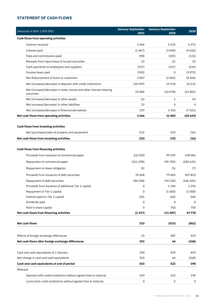### **STATEMENT OF CASH FLOWS**

|         | (Amounts in NOK 1 000 000)                                                       | January-September | January-September | 2020     |
|---------|----------------------------------------------------------------------------------|-------------------|-------------------|----------|
|         |                                                                                  | 2021              | 2020              |          |
|         | <b>Cash flows from operating activities</b>                                      |                   |                   |          |
|         | Interest received                                                                | 2496              | 5535              | 6371     |
|         | Interest paid                                                                    | (1467)            | (3840)            | (4653)   |
|         | Fees and commissions paid                                                        | (98)              | (105)             | (115)    |
|         | Receipts from repurchase of issued securities                                    | 13                | (2)               | 25       |
|         | Cash payments to employees and suppliers                                         | (157)             | (157)             | (224)    |
|         | Income taxes paid                                                                | (920)             | 0                 | (3872)   |
|         | Net disbursement of loans to customers                                           | 3807              | (2606)            | (8466)   |
|         | Net (increase)/decrease in deposits with credit institutions                     | (20599)           | 19518             | 10 132   |
|         | Net (increase)/decrease in notes, bonds and other interest-bearing<br>securities | 19482             | (10678)           | (12801)  |
|         | Net (increase)/decrease in other assets                                          | (6)               | 1                 | (4)      |
|         | Net increase/(decrease) in other liabilities                                     | 23                | 0                 | 4        |
|         | Net (increase)/decrease in financial derivatives                                 | 139               | 3336              | (7021)   |
|         | Net cash flows from operating activities                                         | 2 6 6 6           | 11 003            | (20624)  |
|         | <b>Cash flows from investing activities</b>                                      |                   |                   |          |
|         | Net (purchase)/sales of property and equipment                                   | (15)              | (19)              | (16)     |
|         | Net cash flows from investing activities                                         | (15)              | (19)              | (16)     |
|         |                                                                                  |                   |                   |          |
|         | <b>Cash flows from financing activities</b>                                      |                   |                   |          |
|         | Proceeds from issuance of commercial paper                                       | 222830            | 99 259            | 198 006  |
|         | Repayment of commercial paper                                                    | (211398)          | (96783)           | (180621) |
|         |                                                                                  |                   |                   |          |
|         | Repayment on lease obligation                                                    | (5)               | (5)               | (7)      |
|         | Proceeds from issuance of debt securities                                        | 70 568            | 79465             | 107823   |
|         | Repayment of debt securities                                                     | (84258)           | (94230)           | (106301) |
|         | Proceeds from issuance of additional Tier 1 capital                              | 0                 | 1196              | 1196     |
|         | Repayment of Tier 1 capital                                                      | 0                 | (1000)            | (1000)   |
|         | Interest paid on Tier 1 capital                                                  | (54)              | (60)              | (68)     |
|         | Dividends paid                                                                   | 0                 | 0                 | 0        |
|         | Paid in share capital                                                            | 0                 | 750               | 750      |
|         | Net cash flows from financing activities                                         | (2317)            | (11407)           | 19 778   |
|         | <b>Net cash flows</b>                                                            | 333               | (423)             | (862)    |
|         |                                                                                  |                   |                   |          |
|         | Effects of foreign exchange differences                                          | 19                | 487               | 539      |
|         | Net cash flows after foreign exchange differences                                | 353               | 64                | (268)    |
|         |                                                                                  |                   |                   |          |
|         | Cash and cash equivalents at 1 January                                           | 190               | 459               | 459      |
|         | Net change in cash and cash equivalents                                          | 353               | 64                | (268)    |
|         | Cash and cash equivalents at end of period                                       | 543               | 522               | 190      |
| Whereof |                                                                                  |                   |                   |          |
|         | Deposits with credit institutions without agreed time to maturity                | 543               | 522               | 190      |
|         | Loans from credit institutions without agreed time to maturity                   | 0                 | 0                 | 0        |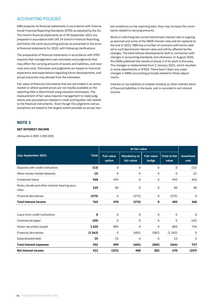#### ACCOUNTING POLICIES

KBN prepares its financial statements in accordance with International Financial Reporting Standards (IFRS) as adopted by the EU. The interim financial statements as of 30 September 2021 are prepared in accordance with IAS 34 *Interim Financial Reporting*, and follow the same accounting policies as presented in the annual financial statements for 2020, with following clarifications:

The preparation of financial statements in accordance with IFRS requires that management uses estimates and judgments that may affect the carrying amounts of assets and liabilities, and revenues and costs. Estimates and judgments are based on historical experience and expectations regarding future developments, and actual outcomes may deviate from the estimates.

Fair value of financial instruments that are not traded in an active market or where quoted prices are not readily available on the reporting date is determined using valuation techniques. The measurement of fair value requires management to make judgments and assumptions related to credit and liquidity risk related to the financial instruments. Even though the judgments and assumptions are based to the largest extent possible on actual market conditions on the reporting date, they may increase the uncertainty related to carrying amounts.

Work on reforming the current benchmark interest rate is ongoing as planned and some of the IBOR interest rates will be replaced at the end of 2021. KBN has a number of contracts with terms related to such benchmark interest rates and will be affected by the changes. The bank follows developments both in connection with changes in accounting standards and otherwise. In August 2020, the IASB published the results of phase 2 of its work in this area. The changes is implemented from 1 January 2021, which resulted in some adjustments in IFRS9. There hasn't been any major changes in KBNs accounting principle related to these adjustments.

Interest on tax liabilities is treated similarly as other interest items of financial liabilities in the bank, and is recorded in net interest income.

#### **NOTE 1**

#### **NET INTEREST INCOME**

*(Amounts in NOK 1 000 000)*

|                                                         |              | At fair value               |                                   |                            |                               |                          |
|---------------------------------------------------------|--------------|-----------------------------|-----------------------------------|----------------------------|-------------------------------|--------------------------|
| July-September 2021                                     | <b>Total</b> | <b>Fair value</b><br>option | <b>Mandatory at</b><br>fair value | <b>Fair value</b><br>hedge | <b>Total at fair</b><br>value | <b>Amortised</b><br>cost |
| Deposits with credit institutions                       | (13)         | 0                           | 0                                 | 0                          | 0                             | (13)                     |
| Other money market deposits                             | (2)          | 0                           | 0                                 | 0                          | 0                             | (2)                      |
| Instalment loans                                        | 928          | 493                         | 0                                 | 0                          | 493                           | 434                      |
| Notes, bonds and other interest-bearing secu-<br>rities | 125          | 85                          | 0                                 | 0                          | 85                            | 40                       |
| <b>Financial derivatives</b>                            | (273)        | 0                           | (273)                             | 0                          | (273)                         | 0                        |
| <b>Total interest income</b>                            | 765          | 578                         | (273)                             | 0                          | 305                           | 460                      |
| Loans from credit institutions                          | 0            | 0                           | $\mathbf 0$                       | 0                          | 0                             | $\mathbf 0$              |
| Commercial paper                                        | (20)         | 0                           | $\Omega$                          | 0                          | 0                             | (20)                     |
| Senior securities issued                                | 1620         | 883                         | $\Omega$                          | 0                          | 883                           | 736                      |
| <b>Financial derivatives</b>                            | (1263)       | 0                           | (681)                             | (582)                      | (1263)                        | 0                        |
| Subordinated debt                                       | 15           | 15                          | $\Omega$                          | $\Omega$                   | 15                            | 0                        |
| <b>Total interest expenses</b>                          | 352          | 899                         | (681)                             | (582)                      | (364)                         | 717                      |
| <b>Net interest income</b>                              | 413          | (321)                       | 408                               | 582                        | 670                           | (257)                    |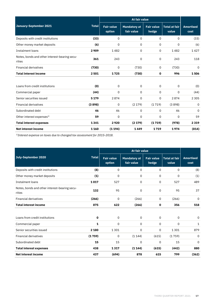|                                                         |              |                             | At fair value                     |                            |                               |                          |
|---------------------------------------------------------|--------------|-----------------------------|-----------------------------------|----------------------------|-------------------------------|--------------------------|
| January-September 2021                                  | <b>Total</b> | <b>Fair value</b><br>option | <b>Mandatory at</b><br>fair value | <b>Fair value</b><br>hedge | <b>Total at fair</b><br>value | <b>Amortised</b><br>cost |
| Deposits with credit institutions                       | (33)         | 0                           | 0                                 | 0                          | 0                             | (33)                     |
| Other money market deposits                             | (6)          | 0                           | 0                                 | 0                          | 0                             | (6)                      |
| <b>Instalment loans</b>                                 | 2909         | 1482                        | 0                                 | 0                          | 1482                          | 1427                     |
| Notes, bonds and other interest-bearing secu-<br>rities | 361          | 243                         | $\mathbf 0$                       | 0                          | 243                           | 118                      |
| <b>Financial derivatives</b>                            | (730)        | $\mathbf 0$                 | (730)                             | 0                          | (730)                         | 0                        |
| <b>Total interest income</b>                            | 2501         | 1725                        | (730)                             | 0                          | 996                           | 1506                     |
|                                                         |              |                             |                                   |                            |                               |                          |
| Loans from credit institutions                          | (0)          | $\mathbf 0$                 | 0                                 | 0                          | 0                             | (0)                      |
| Commercial paper                                        | (44)         | $\mathbf 0$                 | 0                                 | 0                          | 0                             | (44)                     |
| Senior securities issued                                | 5 1 7 9      | 2874                        | $\Omega$                          | 0                          | 2874                          | 2 3 0 5                  |
| <b>Financial derivatives</b>                            | (3898)       | 0                           | (2179)                            | (1719)                     | (3898)                        | 0                        |
| Subordinated debt                                       | 46           | 46                          | 0                                 | 0                          | 46                            | 0                        |
| Other interest expenses <sup>1)</sup>                   | 59           | 0                           | 0                                 | 0                          | 0                             | 59                       |
| <b>Total interest expenses</b>                          | 1341         | 2920                        | (2 179)                           | (1719)                     | (978)                         | 2319                     |
| <b>Net interest income</b>                              | 1 1 6 0      | (1194)                      | 1449                              | 1719                       | 1974                          | (814)                    |

*1)Interest expense on taxes due to changed tax assessment for 2015-2018.*

| July-September 2020                                     | <b>Total</b> | <b>Fair value</b><br>option | <b>Mandatory at</b><br>fair value | <b>Fair value</b><br>hedge | <b>Total at fair</b><br>value | <b>Amortised</b><br>cost |
|---------------------------------------------------------|--------------|-----------------------------|-----------------------------------|----------------------------|-------------------------------|--------------------------|
| Deposits with credit institutions                       | (8)          | 0                           | 0                                 | 0                          | 0                             | (8)                      |
| Other money market deposits                             | (1)          | 0                           | 0                                 | 0                          | 0                             | (1)                      |
| Instalment loans                                        | 1017         | 527                         | 0                                 | 0                          | 527                           | 489                      |
| Notes, bonds and other interest-bearing secu-<br>rities | 132          | 95                          | 0                                 | 0                          | 95                            | 37                       |
| <b>Financial derivatives</b>                            | (266)        | $\Omega$                    | (266)                             | 0                          | (266)                         | 0                        |
| <b>Total interest income</b>                            | 875          | 622                         | (266)                             | $\mathbf 0$                | 356                           | 518                      |
|                                                         |              |                             |                                   |                            |                               |                          |
| Loans from credit institutions                          | $\mathbf 0$  | 0                           | $\mathbf 0$                       | $\mathbf 0$                | 0                             | 0                        |
| Commercial paper                                        | 1            | 0                           | $\mathbf 0$                       | $\mathbf 0$                | 0                             | 1                        |
| Senior securities issued                                | 2 1 8 0      | 1301                        | $\Omega$                          | $\mathbf 0$                | 1301                          | 879                      |
| <b>Financial derivatives</b>                            | (1759)       | 0                           | (1144)                            | (615)                      | (1759)                        | $\mathbf 0$              |
| Subordinated debt                                       | 15           | 15                          | $\Omega$                          | $\Omega$                   | 15                            | $\Omega$                 |
| <b>Total interest expenses</b>                          | 438          | 1317                        | (1144)                            | (615)                      | (442)                         | 880                      |
| <b>Net interest income</b>                              | 437          | (694)                       | 878                               | 615                        | 799                           | (362)                    |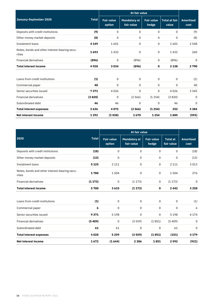|                                                         |              |                             | At fair value                     |                            |                               |                          |
|---------------------------------------------------------|--------------|-----------------------------|-----------------------------------|----------------------------|-------------------------------|--------------------------|
| January-September 2020                                  | <b>Total</b> | <b>Fair value</b><br>option | <b>Mandatory at</b><br>fair value | <b>Fair value</b><br>hedge | <b>Total at fair</b><br>value | <b>Amortised</b><br>cost |
| Deposits with credit institutions                       | (9)          | 0                           | $\Omega$                          | 0                          | 0                             | (9)                      |
| Other money market deposits                             | (8)          | 0                           | $\Omega$                          | 0                          | 0                             | (8)                      |
| Instalment loans                                        | 4 1 4 9      | 1601                        | 0                                 | 0                          | 1601                          | 2 5 4 8                  |
| Notes, bonds and other interest-bearing secu-<br>rities | 1693         | 1432                        | $\Omega$                          | 0                          | 1432                          | 260                      |
| <b>Financial derivatives</b>                            | (896)        | 0                           | (896)                             | 0                          | (896)                         | 0                        |
| <b>Total interest income</b>                            | 4928         | 3034                        | (896)                             | 0                          | 2 1 3 8                       | 2790                     |
| Loans from credit institutions                          | (1)          | 0                           | $\mathbf 0$                       | 0                          | $\mathbf 0$                   | (1)                      |
| Commercial paper                                        | 40           | $\Omega$                    | $\Omega$                          | $\mathbf 0$                | 0                             | 40                       |
| Senior securities issued                                | 7371         | 4026                        | 0                                 | 0                          | 4026                          | 3 3 4 5                  |
| <b>Financial derivatives</b>                            | (3820)       | 0                           | (2566)                            | (1254)                     | (3820)                        | 0                        |
| Subordinated debt                                       | 46           | 46                          | $\Omega$                          | $\Omega$                   | 46                            | $\Omega$                 |
| <b>Total interest expenses</b>                          | 3636         | 4072                        | (2566)                            | (1254)                     | 252                           | 3 3 8 4                  |
| <b>Net interest income</b>                              | 1292         | (1038)                      | 1670                              | 1254                       | 1885                          | (593)                    |

|                                                         |              |                             | <b>At fair value</b>              |                            |                               |                          |
|---------------------------------------------------------|--------------|-----------------------------|-----------------------------------|----------------------------|-------------------------------|--------------------------|
| 2020                                                    | <b>Total</b> | <b>Fair value</b><br>option | <b>Mandatory at</b><br>fair value | <b>Fair value</b><br>hedge | <b>Total at</b><br>fair value | <b>Amortised</b><br>cost |
| Deposits with credit institutions                       | (18)         | 0                           | 0                                 | 0                          | 0                             | (18)                     |
| Other money market deposits                             | (13)         | 0                           | 0                                 | 0                          | 0                             | (13)                     |
| Instalment loans                                        | 5 1 2 5      | 2 1 1 1                     | 0                                 | 0                          | 2 1 1 1                       | 3 0 1 3                  |
| Notes, bonds and other interest-bearing secu-<br>rities | 1780         | 1504                        | $\mathbf 0$                       | 0                          | 1504                          | 276                      |
| <b>Financial derivatives</b>                            | (1173)       | 0                           | (1173)                            | 0                          | (1173)                        | 0                        |
| <b>Total interest income</b>                            | 5700         | 3615                        | (1173)                            | $\mathbf{o}$               | 2442                          | 3 2 5 8                  |
|                                                         |              |                             |                                   |                            |                               |                          |
| Loans from credit institutions                          | (1)          | 0                           | 0                                 | 0                          | 0                             | (1)                      |
| Commercial paper                                        | 6            | 0                           | 0                                 | 0                          | 0                             | 6                        |
| Senior securities issued                                | 9371         | 5 1 9 8                     | 0                                 | 0                          | 5198                          | 4 1 7 4                  |
| <b>Financial derivatives</b>                            | (5409)       | 0                           | (3559)                            | (1851)                     | (5409)                        | 0                        |
| Subordinated debt                                       | 61           | 61                          | 0                                 | 0                          | 61                            | $\mathbf 0$              |
| <b>Total interest expenses</b>                          | 4028         | 5259                        | (3559)                            | (1851)                     | (151)                         | 4 1 7 9                  |
| <b>Net interest income</b>                              | 1672         | (1644)                      | 2 3 8 6                           | 1851                       | 2592                          | (921)                    |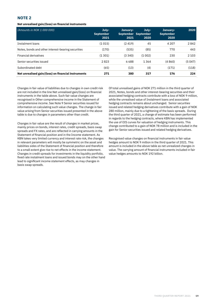#### **Net unrealised gain/(loss) on financial instruments**

| (Amounts in NOK 1 000 000)                          | July-<br><b>September</b><br>2021 | January-<br>2021 | July-<br>September September<br>2020 | January-<br><b>September</b><br>2020 | 2020    |
|-----------------------------------------------------|-----------------------------------|------------------|--------------------------------------|--------------------------------------|---------|
| Instalment loans                                    | (1015)                            | (2419)           | 45                                   | 4 2 0 7                              | 2842    |
| Notes, bonds and other interest-bearing securities  | (170)                             | (535)            | (85)                                 | 770                                  | 443     |
| <b>Financial derivatives</b>                        | (1301)                            | (3340)           | (1002)                               | 230                                  | 2 1 0 3 |
| Senior securities issued                            | 2823                              | 6688             | 1 3 6 4                              | (4860)                               | (5047)  |
| Subordinated debt                                   | (65)                              | (13)             | (4)                                  | (171)                                | (118)   |
| Net unrealised gain/(loss) on financial instruments | 271                               | 380              | 317                                  | 176                                  | 224     |

Changes in fair value of liabilities due to changes in own credit risk are not included in the line Net unrealised gain/(loss) on financial instruments in the table above. Such fair value changes are recognised in Other comprehensive income in the Statement of comprehensive income. See Note 9 Senior securities issued for information on calculating such value changes. The change in fair value arising from Senior securities issued presented in the above table is due to changes in parameters other than credit.

Changes in fair value are the result of changes in market prices, mainly prices on bonds, interest rates, credit spreads, basis swap spreads and FX rates, and are reflected in carrying amounts in the Statement of financial position and in the Income statement. As KBN takes very limited currency and interest rate risk, the changes in relevant parameters will mostly be symmetric on the asset and liabilities sides of the Statement of financial position and therefore to a small extent give rise to net effects in the income statement. Changes in credit spreads for investments in the liquidity portfolio, fixed rate instalment loans and issued bonds may on the other hand lead to significant income statement effects, as may changes in basis swap spreads.

Of total unrealised gains of NOK 271 million in the third quarter of 2021, Notes, bonds and other interest-bearing securities and their associated hedging contracts contribute with a loss of NOK 9 million, while the unrealised value of Instalment loans and associated hedging contracts remains about unchanged. Senior securities issued and related hedging derivatives contribute with a gain of NOK 280 million, mainly due to a tightening of the basis spreads. During the third quarter of 2021, a change of estimate has been performed in regards to the hedging contracts, where KBN has implemented the use of OIS curves for valuation of hedging instruments. This change contributed to a gain of NOK 78 million and is included in the gain for Senior securities issued and related hedging derivatives.

Recognised value changes on financial instruments in fair value hedges amount to NOK 9 million in the third quarter of 2021. This amount is included in the above table as net unrealized changes in value. The carrying amount of financial instruments included in fair value hedges amounts to NOK 192 billion.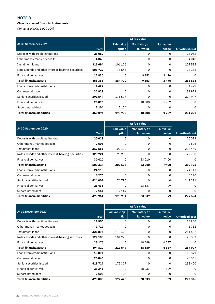#### **Classification of financial instruments**

*(Amounts in NOK 1 000 000)*

| At 30 September 2021                               |              | <b>Fair value</b> | <b>Mandatory at</b> | <b>Fair value</b> |                       |
|----------------------------------------------------|--------------|-------------------|---------------------|-------------------|-----------------------|
|                                                    | <b>Total</b> | option            | fair value          | hedge             | <b>Amortised cost</b> |
| Deposits with credit institutions                  | 28 062       | 0                 | 0                   | 0                 | 28 0 62               |
| Other money market deposits                        | 4048         | 0                 | 0                   | $\Omega$          | 4048                  |
| Instalment loans                                   | 315694       | 106 176           | 0                   | 0                 | 209 518               |
| Notes, bonds and other interest-bearing securities | 105729       | 78 543            | 0                   | $\Omega$          | 27 185                |
| <b>Financial derivatives</b>                       | 12830        | 0                 | 9353                | 3476              | 0                     |
| <b>Total financial assets</b>                      | 466 363      | 184720            | 9353                | 3476              | 268813                |
| Loans from credit institutions                     | 4427         | 0                 | 0                   | 0                 | 4427                  |
| Commercial paper                                   | 31923        | $\Omega$          | 0                   | $\Omega$          | 31923                 |
| Senior securities issued                           | 391544       | 176 597           | 0                   | 0                 | 214 947               |
| <b>Financial derivatives</b>                       | 20 095       | 0                 | 18 3 08             | 1787              | 0                     |
| Subordinated debt                                  | 2 1 0 4      | 2 1 0 4           | 0                   | 0                 | $\Omega$              |
| <b>Total financial liabilities</b>                 | 450 094      | 178702            | 18 308              | 1787              | 251 297               |

| At 30 September 2020                               |         | <b>Fair value</b> | <b>Mandatory at</b> | <b>Fair value</b> |                       |
|----------------------------------------------------|---------|-------------------|---------------------|-------------------|-----------------------|
|                                                    | Total   | option            | fair value          | hedge             | <b>Amortised cost</b> |
| Deposits with credit institutions                  | 20013   | 0                 | 0                   | 0                 | 20 013                |
| Other money market deposits                        | 2606    | 0                 | 0                   | 0                 | 2606                  |
| Instalment loans                                   | 317561  | 109 112           | 0                   | 0                 | 208 449               |
| Notes, bonds and other interest-bearing securities | 129 724 | 99 993            | 0                   | 0                 | 29730                 |
| <b>Financial derivatives</b>                       | 30410   | 0                 | 23 010              | 7400              | $\Omega$              |
| <b>Total financial assets</b>                      | 500 314 | 209 106           | 23 010              | 7400              | 260798                |
| Loans from credit institutions                     | 24 113  | 0                 | 0                   | 0                 | 24 1 13               |
| Commercial paper                                   | 6270    | 0                 | 0                   | 0                 | 6 2 7 0               |
| Senior securities issued                           | 424 001 | 176 790           | 0                   | 0                 | 247 211               |
| <b>Financial derivatives</b>                       | 23 4 36 | $\Omega$          | 23 3 3 7            | 99                | 0                     |
| Subordinated debt                                  | 2 1 4 4 | 2 1 4 4           | 0                   | 0                 | $\Omega$              |
| <b>Total financial liabilities</b>                 | 479 964 | 178934            | 23 3 3 7            | 99                | 277594                |

| At 31 December 2020                                |          | Fair value op- | Mandatory at | <b>Fair value</b> |                       |
|----------------------------------------------------|----------|----------------|--------------|-------------------|-----------------------|
|                                                    | Total    | tion           | fair value   | hedge             | <b>Amortised cost</b> |
| Deposits with credit institutions                  | 18950    | 0              | 0            | 0                 | 18 9 50               |
| Other money market deposits                        | 1712     | 0              | 0            | 0                 | 1712                  |
| Instalment loans                                   | 321874   | 110 423        | 0            | $\Omega$          | 211452                |
| Notes, bonds and other interest-bearing securities | 127 108  | 101 225        | 0            | 0                 | 25883                 |
| Financial derivatives                              | 25 1 7 6 | 0              | 18589        | 6587              | $\Omega$              |
| <b>Total financial assets</b>                      | 494 820  | 211 647        | 18589        | 6587              | 257997                |
| Loans from credit institutions                     | 13871    | 0              | 0            | 0                 | 13871                 |
| Commercial paper                                   | 20 045   | 0              | 0            | $\Omega$          | 20 045                |
| Senior securities issued                           | 413717   | 175317         | 0            | 0                 | 238 400               |
| <b>Financial derivatives</b>                       | 28 341   | 0              | 28 0 33      | 309               | 0                     |
| Subordinated debt                                  | 2 1 0 6  | 2 1 0 6        | 0            | $\Omega$          | $\Omega$              |
| <b>Total financial liabilities</b>                 | 478080   | 177423         | 28 033       | 309               | 272316                |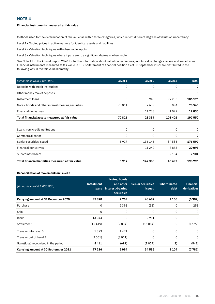#### **Financial instruments measured at fair value**

Methods used for the determination of fair value fall within three categories, which reflect different degrees of valuation uncertainty:

Level 1 - Quoted prices in active markets for identical assets and liabilities

Level 2 - Valuation techniques with observable inputs

Level 3 - Valuation techniques where inputs are to a significant degree unobservable

See Note 11 in the Annual Report 2020 for further information about valuation techniques, inputs, value change analysis and sensitivities. Financial instruments measured at fair value in KBN's Statement of financial position as of 30 September 2021 are distributed in the following way in the fair value hierarchy:

| (Amounts in NOK 1 000 000)                         | Level 1 | Level <sub>2</sub> | Level 3     | <b>Total</b> |
|----------------------------------------------------|---------|--------------------|-------------|--------------|
| Deposits with credit institutions                  | 0       | 0                  | $\mathbf 0$ | 0            |
| Other money maket deposits                         | 0       | 0                  | 0           | 0            |
| Instalment loans                                   | 0       | 8940               | 97 236      | 106 176      |
| Notes, bonds and other interest-bearing securities | 70811   | 2639               | 5094        | 78 543       |
| <b>Financial derivatives</b>                       |         | 11758              | 1072        | 12830        |
| Total financial assets measured at fair value      | 70811   | 23 337             | 103 402     | 197 550      |
|                                                    |         |                    |             |              |
| Loans from credit institutions                     | 0       | 0                  | 0           | 0            |
| Commercial paper                                   | 0       | 0                  | 0           | 0            |
| Senior securities issued                           | 5917    | 136 146            | 34 535      | 176 597      |
| <b>Financial derivatives</b>                       |         | 11 24 2            | 8853        | 20095        |
| Subordinated debt                                  |         |                    | 2 1 0 4     | 2 1 0 4      |
| Total financial liabilities measured at fair value | 5917    | 147388             | 45492       | 198796       |

#### **Reconciliation of movements in Level 3**

| (Amounts in NOK 1 000 000)                  | <b>Instalment</b><br>'loans | <b>Notes, bonds</b><br>and other<br>interest-bearing<br><b>securities</b> | <b>Senior securities</b><br><b>issued</b> | <b>Subordinated</b><br>debt | <b>Financial</b><br>derivatives |
|---------------------------------------------|-----------------------------|---------------------------------------------------------------------------|-------------------------------------------|-----------------------------|---------------------------------|
| Carrying amount at 31 December 2020         | 95878                       | 7769                                                                      | 48 687                                    | 2 1 0 6                     | (6302)                          |
| Purchase                                    | 0                           | 2 3 9 8                                                                   | (53)                                      | 0                           | 253                             |
| Sale                                        | 0                           | 0                                                                         | 0                                         | $\mathbf 0$                 | 0                               |
| Issue                                       | 13044                       | $\Omega$                                                                  | 2981                                      | $\mathbf 0$                 | 0                               |
| Settlement                                  | (15419)                     | (2834)                                                                    | (16054)                                   | 0                           | (1192)                          |
| Transfer into Level 3                       | 1373                        | 1471                                                                      | 0                                         | $\mathbf 0$                 | $\Omega$                        |
| Transfer out of Level 3                     | (2051)                      | (3011)                                                                    | 0                                         | 0                           | $\mathbf 0$                     |
| Gain/(loss) recognised in the period        | 4411                        | (699)                                                                     | (1027)                                    | (2)                         | (541)                           |
| <b>Carrying amount at 30 September 2021</b> | 97 236                      | 5094                                                                      | 34 535                                    | 2 1 0 4                     | (7781)                          |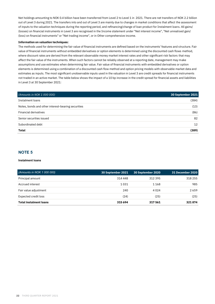Net holdings amounting to NOK 0.4 billion have been transferred from Level 2 to Level 1 in 2021. There are net transfers of NOK 2.2 billion out of Level 3 during 2021. The transfers into and out of Level 3 are mainly due to changes in market conditions that affect the assessment of inputs to the valuation techniques during the reporting period, and refinancing/change of loan product for Instalment loans. All gains/ (losses) on financial instruments in Level 3 are recognised in the Income statement under "Net interest income", "Net unrealised gain/ (loss) on financial instruments" or "Net trading income", or in Other comprehensive income.

#### **Information on valuation techniques:**

The methods used for determining the fair value of financial instruments are defined based on the instruments' features and structure. Fair value of financial instruments without embedded derivatives or option elements is determined using the discounted cash flows method, where discount rates are derived from the relevant observable money market interest rates and other significant risk factors that may affect the fair value of the instruments. When such factors cannot be reliably observed at a reporting date, management may make assumptions and use estimates when determining fair value. Fair value of financial instruments with embedded derivatives or option elements is determined using a combination of a discounted cash flow method and option pricing models with observable market data and estimates as inputs. The most significant unobservable inputs used in the valuation in Level 3 are credit spreads for financial instruments not traded in an active market. The table below shows the impact of a 10 bp increase in the credit spread for financial assets and liabilities in Level 3 at 30 September 2021:

| (Amounts in NOK 1 000 000)                         | 30 September 2021 |
|----------------------------------------------------|-------------------|
| Instalment loans                                   | (384)             |
| Notes, bonds and other interest-bearing securities | (13)              |
| Financial derivatives                              | (86)              |
| Senior securities issued                           | 82                |
| Subordinated debt                                  | $12 \overline{ }$ |
| Total                                              | (389)             |

#### **NOTE 5**

#### **Instalment loans**

| (Amounts in NOK 1 000 000)    | 30 September 2021 | 30 September 2020' | 31 December 2020 |
|-------------------------------|-------------------|--------------------|------------------|
| Principal amount              | 314 448           | 312395             | 318 255          |
| Accrued interest              | 1031              | 1168               | 985              |
| Fair value adjustment         | 240               | 4024               | 2659             |
| Expected credit loss          | (24)              | (25)               | (25)             |
| <b>Total instalment loans</b> | 315 694           | 317561             | 321874           |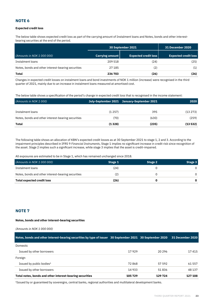#### **Expected credit loss**

The below table shows expected credit loss as part of the carrying amount of Instalment loans and Notes, bonds and other interestbearing securities at the end of the period.

|                                                    | <b>30 September 2021</b> | <b>31 December 2020</b>     |                             |
|----------------------------------------------------|--------------------------|-----------------------------|-----------------------------|
| (Amounts in NOK 1 000 000)                         | Carrying amount          | <b>Expected credit loss</b> | <b>Expected credit loss</b> |
| Instalment loans                                   | 209 518                  | (24)                        | (25)                        |
| Notes, bonds and other interest-bearing securities | 27 185                   | (2)                         | (1)                         |
| Total                                              | 236 703                  | (26)                        | (26)                        |

Changes in expected credit losses on instalment loans and bond investments of NOK 1 million (increase) were recognised in the third quarter of 2021, mainly due to an increase in instalment loans measured at amortised cost.

The below table shows a specification of the period's change in expected credit loss that is recognised in the income statement:

| (Amounts in NOK 1000)                              |        | July-September 2021 January-September 2021 | 2020    |
|----------------------------------------------------|--------|--------------------------------------------|---------|
|                                                    |        |                                            |         |
| Instalment loans                                   | (1257) | 395                                        | (13273) |
| Notes, bonds and other interest-bearing securities | (70)   | (630)                                      | (259)   |
| Total                                              | (1328) | (235)                                      | (13532) |

The following table shows an allocation of KBN's expected credit losses as at 30 September 2021 to stage 1, 2 and 3. According to the impairment principles described in IFRS 9 *Financial Instruments*, Stage 1 implies no significant increase in credit risk since recognition of the asset. Stage 2 implies such a significant increase, while stage 3 implies that the asset is credit-impaired.

All exposures are estimated to be in Stage 1, which has remained unchanged since 2018.

| (Amounts in NOK 1 000 000)                         | Stage 1 | Stage 2 | Stage 3 |
|----------------------------------------------------|---------|---------|---------|
| Instalment loans                                   | (24)    |         |         |
| Notes, bonds and other interest-bearing securities | (2)     |         |         |
| Total expected credit loss                         | (26)    |         |         |

#### **NOTE 7**

#### **Notes, bonds and other interest-bearing securities**

*(Amounts in NOK 1 000 000)* 

| Notes, bonds and other interest-bearing securities by type of issuer 30 September 2021 30 September 2020 |        |         | 31 December 2020 |
|----------------------------------------------------------------------------------------------------------|--------|---------|------------------|
| Domestic                                                                                                 |        |         |                  |
| Issued by other borrowers                                                                                | 17929  | 20 29 6 | 17 415           |
| Foreign                                                                                                  |        |         |                  |
| Issued by public bodies <sup>1</sup>                                                                     | 72868  | 57 592  | 61 557           |
| Issued by other borrowers                                                                                | 14 933 | 51836   | 48 137           |
| Total notes, bonds and other interest-bearing securities                                                 | 105729 | 129 724 | 127 108          |

<sup>1</sup>Issued by or guaranteed by sovereigns, central banks, regional authorities and multilateral development banks.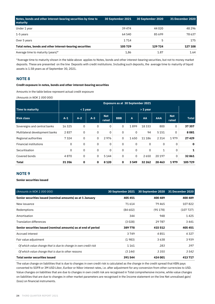| Notes, bonds and other interest-bearing securities by time to<br>maturity | 30 September 2021 | 30 September 2020 | <b>31 December 2020</b> |
|---------------------------------------------------------------------------|-------------------|-------------------|-------------------------|
| Under 1 year                                                              | 39 4 74           | 44 0 20           | 48 2 9 6                |
| 1-5 years                                                                 | 64 540            | 85699             | 78 637                  |
| Over 5 years                                                              | 1714              | 5                 | 175                     |
| Total notes, bonds and other interest-bearing securities                  | 105729            | 129 724           | 127 108                 |
| Average time to maturity (years)*                                         | 1,86              | 1.87              | 1.64                    |

\*Average time to maturity shown in the table above applies to Notes, bonds and other interest-bearing securities, but not to money market deposits. These are presented on the line Deposits with credit institutions. Including such deposits, the average time to maturity of liquid assets is 1.58 years as of September 30, 2021.

#### **NOTE 8**

#### **Credit exposure in notes, bonds and other interest-bearing securities**

Amounts in the table below represent actual credit exposure

*(Amounts in NOK 1 000 000)* 

|                                |         | <b>Exposure as at 30 September 2021</b> |       |                     |            |                |             |            |                     |              |
|--------------------------------|---------|-----------------------------------------|-------|---------------------|------------|----------------|-------------|------------|---------------------|--------------|
| <b>Time to maturity</b>        |         | $< 1$ year                              |       |                     |            |                | $> 1$ year  |            |                     |              |
| <b>Risk class</b>              | $A-1$   | $A-2$                                   | $A-3$ | <b>Not</b><br>rated | <b>BBB</b> | $\overline{A}$ | AA          | <b>AAA</b> | <b>Not</b><br>rated | <b>Total</b> |
| Sovereigns and central banks   | 16 3 25 | 0                                       | 0     | 0                   | 0          | 1899           | 18333       | 800        | 0                   | 37357        |
| Multilateral development banks | 2837    | 0                                       | 0     | 0                   | 0          | 0              | 94          | 5 1 5 1    | 0                   | 8081         |
| Regional authorities           | 7324    | 0                                       | 0     | 2976                | 0          | 1650           | 11 186      | 2 3 1 4    | 1979                | 27429        |
| <b>Financial institutions</b>  | 0       | $\mathbf 0$                             | 0     | 0                   | 0          | 0              | $\mathbf 0$ | 0          | $\Omega$            | $\mathbf 0$  |
| Securitisation                 | 0       | 0                                       | 0     | 0                   | 0          | 0              | 0           | 1          | 0                   | 1            |
| Covered bonds                  | 4870    | 0                                       | 0     | 5 1 4 4             | 0          | 0              | 2650        | 20 197     | 0                   | 32861        |
| <b>Total</b>                   | 31356   | 0                                       | 0     | 8 1 2 0             | 0          | 3549           | 32 262      | 28 4 63    | 1979                | 105 729      |

#### **NOTE 9**

**Senior securities issued**

| (Amounts in NOK 1 000 000)                                     | <b>30 September 2021</b> | 30 September 2020 | 31 December 2020 |
|----------------------------------------------------------------|--------------------------|-------------------|------------------|
| Senior securities issued (nominal amounts) as at 1 January     | 405451                   | 400 489           | 400 489          |
| New issuance                                                   | 71 614                   | 79465             | 107822           |
| Redemptions                                                    | (84602)                  | (95178)           | (107727)         |
| Amortisation                                                   | 344                      | 948               | 1425             |
| <b>Translation differences</b>                                 | (3028)                   | 29 787            | 3 4 4 1          |
| Senior securities issued (nominal amounts) as at end of period | 389778                   | 415 512           | 405 451          |
| Accrued interest                                               | 3749                     | 4851              | 4327             |
| Fair value adjustment                                          | (1983)                   | 3638              | 3939             |
| Of which value change that is due to change in own credit risk | 1 1 6 1                  | 283               | 397              |
| Of which value change that is due to other reasons             | $(3\ 144)$               | 3 3 5 5           | 3542             |
| <b>Total senior securities issued</b>                          | 391544                   | 424 001           | 413717           |

The value change on liabilities that is due to changes in own credit risk is calculated as the change in the credit spread that KBN pays converted to SOFR or 3M USD Libor, Euribor or Nibor interest rates, i.e. after adjustment for any conversion from other currencies to USD. Value changes on liabilities that are due to changes in own credit risk are recognised in Total comprehensive income, while value changes on liabilities that are due to changes in other market parameters are recognised in the Income statement on the line Net unrealised gain/ (loss) on financial instruments.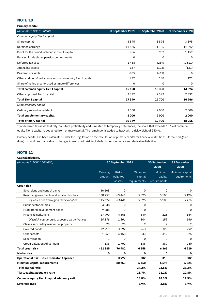| <b>Primary capital</b>                                     |          |                                     |                         |
|------------------------------------------------------------|----------|-------------------------------------|-------------------------|
| (Amounts in NOK 1 000 000)                                 |          | 30 September 2021 30 September 2020 | <b>31 December 2020</b> |
| Common equity Tier 1 capital                               |          |                                     |                         |
| Share capital                                              | 3895     | 3895                                | 3895                    |
| Retained earnings                                          | 11625    | 11 185                              | 11 092                  |
| Profit for the period included in Tier 1 capital           | 966      | 902                                 | 1 1 5 9                 |
| Pension funds above pension commitments                    | 0        | 0                                   | $\Omega$                |
| Deferred tax asset*                                        | $-1438$  | (239)                               | (1611)                  |
| Intangible assets                                          | $-137$   | (123)                               | (131)                   |
| Dividends payable                                          | $-485$   | (449)                               | $\Omega$                |
| Other additions/deductions in common equity Tier 1 capital | 732      | 138                                 | 171                     |
| Share of nulled unamortised estimate differences           | $\Omega$ | $\Omega$                            | $\Omega$                |
| Total common equity Tier 1 capital                         | 15 158   | 15 308                              | 14574                   |
| Other approved Tier 1 capital                              | 2392     | 2392                                | 2392                    |
| <b>Total Tier 1 capital</b>                                | 17549    | 17700                               | 16966                   |
| Supplementary capital                                      |          |                                     |                         |
| Ordinary subordinated debt                                 | 2000     | 2000                                | 2000                    |
| Total supplementary capital                                | 2000     | 2000                                | 2000                    |
| Total primary capital                                      | 19549    | 19700                               | 18966                   |

\*For deferred tax asset that rely on future profitability and is related to temporary differences, the share that exceeds 10 % of common equity Tier 1 capital is deducted from primary capital. The remainder is added to RWA with a risk weight of 250 %.

Primary capital has been calculated under the Regulation on the calculation of primary capital for financial institutions. Unrealised gain/ (loss) on liabilities that is due to changes in own credit risk include both non-derivative and derivative liabilities.

#### **NOTE 11**

| Capital adequacy                                   |                   |          |                |                             |                            |
|----------------------------------------------------|-------------------|----------|----------------|-----------------------------|----------------------------|
| (Amounts in NOK 1 000 000)                         | 30 September 2021 |          |                | <b>30 September</b><br>2020 | <b>31 December</b><br>2020 |
|                                                    | Carrying          | Risk-    | Minimum        | Minimum                     | Minimum capital            |
|                                                    | amount            | weighted | capital        | capital                     | requirements               |
|                                                    |                   | assets   | requirements   | requirements                |                            |
| <b>Credit risk</b>                                 |                   |          |                |                             |                            |
| Sovereigns and central banks                       | 36 668            | $\Omega$ | $\Omega$       | $\Omega$                    | $\Omega$                   |
| Regional governments and local authorities         | 338757            | 63 4 41  | 5075           | 5 1 0 8                     | 5176                       |
| Of which are Norwegian municipalities              | 315674            | 63441    | 5075           | 5 1 0 8                     | 5176                       |
| Public sector entities                             | 4638              | 0        | 0              | $\Omega$                    | 0                          |
| Multilateral development banks                     | 9088              | $\Omega$ | 0              | $\Omega$                    | $\Omega$                   |
| <b>Financial institutions</b>                      | 27990             | 4368     | 349            | 225                         | 164                        |
| Of which counterparty exposure on derivatives      | 10178             | 1301     | 104            | 159                         | 160                        |
| Claims secured by residential property             | 20                | 20       | $\overline{2}$ | $\overline{2}$              | 2                          |
| Covered bonds                                      | 32919             | 3 2 9 2  | 263            | 329                         | 292                        |
| Other assets                                       | 1669              | 4 1 5 8  | 333            | 312                         | 325                        |
| Securitisation                                     | 1                 | 0        | 0              | $\Omega$                    | $\Omega$                   |
| Credit Valuation Adjustment                        | 136               | 1702     | 136            | 389                         | 260                        |
| <b>Total credit risk</b>                           | 451885            | 76981    | 6 158          | 6365                        | 6219                       |
| <b>Market risk</b>                                 | 0                 | 0        | 0              | 0                           | $\mathbf 0$                |
| <b>Operational risk-Basic Indicator Approach</b>   |                   | 3772     | 302            | 310                         | 302                        |
| Minimum capital requirements                       |                   | 80753    | 6460           | 6676                        | 6521                       |
| <b>Total capital ratio</b>                         |                   |          | 24.2%          | 23.6%                       | 23.3%                      |
| Tier 1 capital adequacy ratio                      |                   |          | 21.7%          | 21.2%                       | 20.8%                      |
| <b>Common equity Tier 1 capital adequacy ratio</b> |                   |          | 18.8%          | 18.3%                       | 17.9%                      |
| Leverage ratio                                     |                   |          | 3.9%           | 3.8%                        | 3.7%                       |